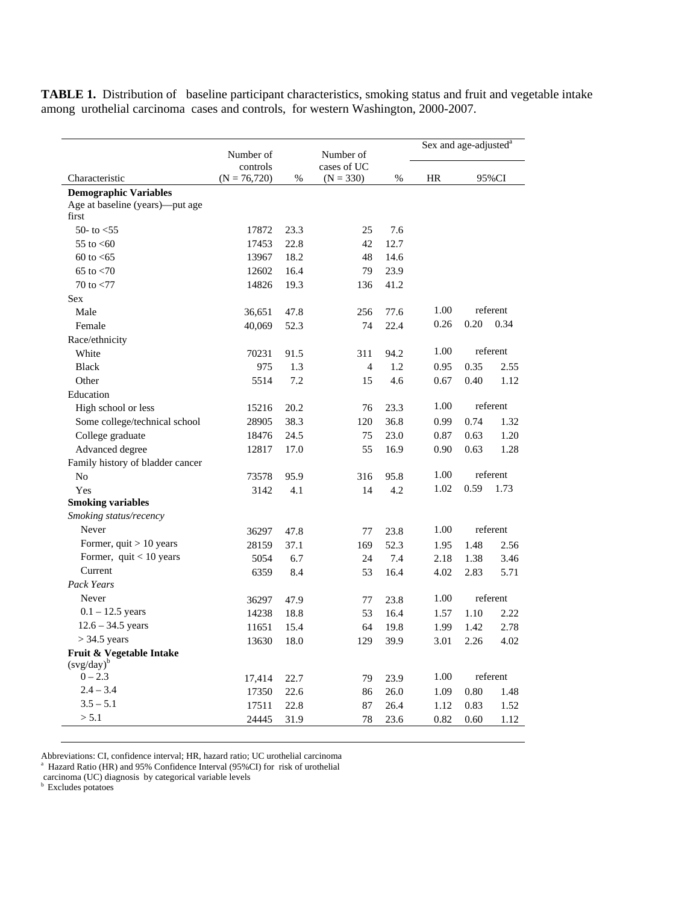**TABLE 1.** Distribution of baseline participant characteristics, smoking status and fruit and vegetable intake among urothelial carcinoma cases and controls, for western Washington, 2000-2007.

|                                                                          | Number of                  |            | Number of                  |      |           | Sex and age-adjusted <sup>a</sup> |          |  |
|--------------------------------------------------------------------------|----------------------------|------------|----------------------------|------|-----------|-----------------------------------|----------|--|
| Characteristic                                                           | controls<br>$(N = 76,720)$ | $\%$       | cases of UC<br>$(N = 330)$ | $\%$ | <b>HR</b> | 95%CI                             |          |  |
| <b>Demographic Variables</b><br>Age at baseline (years)—put age<br>first |                            |            |                            |      |           |                                   |          |  |
| 50- to $<$ 55                                                            | 17872                      | 23.3       | 25                         | 7.6  |           |                                   |          |  |
| 55 to $< 60$                                                             | 17453                      | 22.8       | 42                         | 12.7 |           |                                   |          |  |
| $60 \text{ to } 5$                                                       | 13967                      | 18.2       | 48                         | 14.6 |           |                                   |          |  |
| 65 to $< 70$                                                             | 12602                      | 16.4       | 79                         | 23.9 |           |                                   |          |  |
| 70 to $< 77$                                                             | 14826                      | 19.3       | 136                        | 41.2 |           |                                   |          |  |
| Sex                                                                      |                            |            |                            |      |           |                                   |          |  |
| Male                                                                     |                            | 47.8       |                            | 77.6 | 1.00      |                                   | referent |  |
|                                                                          | 36,651                     |            | 256                        |      | 0.26      | 0.20                              | 0.34     |  |
| Female                                                                   | 40,069                     | 52.3       | 74                         | 22.4 |           |                                   |          |  |
| Race/ethnicity                                                           |                            |            |                            |      | 1.00      |                                   | referent |  |
| White<br><b>Black</b>                                                    | 70231                      | 91.5       | 311                        | 94.2 |           |                                   |          |  |
|                                                                          | 975                        | 1.3<br>7.2 | $\overline{4}$             | 1.2  | 0.95      | 0.35                              | 2.55     |  |
| Other                                                                    | 5514                       |            | 15                         | 4.6  | 0.67      | 0.40                              | 1.12     |  |
| Education                                                                |                            |            |                            |      | 1.00      |                                   | referent |  |
| High school or less                                                      | 15216                      | 20.2       | 76                         | 23.3 |           |                                   |          |  |
| Some college/technical school                                            | 28905                      | 38.3       | 120                        | 36.8 | 0.99      | 0.74                              | 1.32     |  |
| College graduate                                                         | 18476                      | 24.5       | 75                         | 23.0 | 0.87      | 0.63                              | 1.20     |  |
| Advanced degree                                                          | 12817                      | 17.0       | 55                         | 16.9 | 0.90      | 0.63                              | 1.28     |  |
| Family history of bladder cancer                                         |                            |            |                            |      |           |                                   |          |  |
| N <sub>0</sub>                                                           | 73578                      | 95.9       | 316                        | 95.8 | 1.00      |                                   | referent |  |
| Yes                                                                      | 3142                       | 4.1        | 14                         | 4.2  | 1.02      | 0.59                              | 1.73     |  |
| <b>Smoking variables</b>                                                 |                            |            |                            |      |           |                                   |          |  |
| Smoking status/recency                                                   |                            |            |                            |      |           |                                   |          |  |
| Never                                                                    | 36297                      | 47.8       | 77                         | 23.8 | 1.00      |                                   | referent |  |
| Former, $quit > 10$ years                                                | 28159                      | 37.1       | 169                        | 52.3 | 1.95      | 1.48                              | 2.56     |  |
| Former, $quit < 10$ years                                                | 5054                       | 6.7        | 24                         | 7.4  | 2.18      | 1.38                              | 3.46     |  |
| Current                                                                  | 6359                       | 8.4        | 53                         | 16.4 | 4.02      | 2.83                              | 5.71     |  |
| <b>Pack Years</b>                                                        |                            |            |                            |      |           |                                   |          |  |
| Never                                                                    | 36297                      | 47.9       | 77                         | 23.8 | 1.00      |                                   | referent |  |
| $0.1 - 12.5$ years                                                       | 14238                      | 18.8       | 53                         | 16.4 | 1.57      | 1.10                              | 2.22     |  |
| $12.6 - 34.5$ years                                                      | 11651                      | 15.4       | 64                         | 19.8 | 1.99      | 1.42                              | 2.78     |  |
| $>$ 34.5 years                                                           | 13630                      | 18.0       | 129                        | 39.9 | 3.01      | 2.26                              | 4.02     |  |
| Fruit & Vegetable Intake<br>$(svg/day)^b$                                |                            |            |                            |      |           |                                   |          |  |
| $0 - 2.3$                                                                | 17,414                     | 22.7       | 79                         | 23.9 | 1.00      | referent                          |          |  |
| $2.4 - 3.4$                                                              | 17350                      | 22.6       | 86                         | 26.0 | 1.09      | 0.80                              | 1.48     |  |
| $3.5 - 5.1$                                                              | 17511                      | 22.8       | 87                         | 26.4 | 1.12      | 0.83                              | 1.52     |  |
| > 5.1                                                                    | 24445                      | 31.9       | 78                         | 23.6 | 0.82      | 0.60                              | 1.12     |  |

Abbreviations: CI, confidence interval; HR, hazard ratio; UC urothelial carcinoma a Hazard Ratio (HR) and 95% Confidence Interval (95%CI) for risk of urothelial

carcinoma (UC) diagnosis by categorical variable levels

**b** Excludes potatoes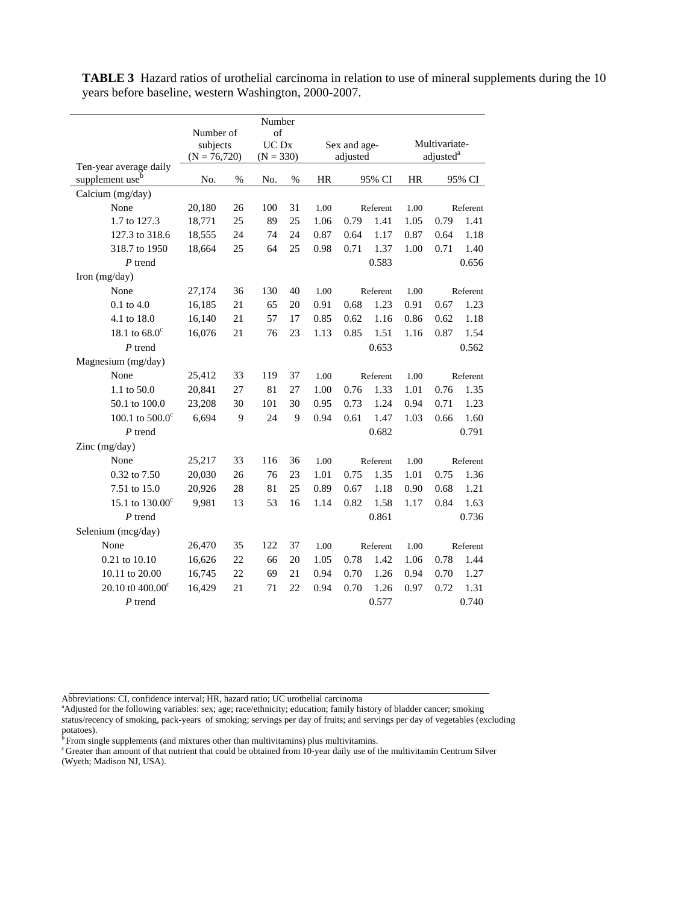| Number                      |                             |    |                      |      |           |              |          |                       |          |          |
|-----------------------------|-----------------------------|----|----------------------|------|-----------|--------------|----------|-----------------------|----------|----------|
|                             | Number of                   |    | of                   |      |           |              |          |                       |          |          |
|                             | subjects<br>$(N = 76, 720)$ |    | UC Dx<br>$(N = 330)$ |      |           | Sex and age- |          | Multivariate-         |          |          |
| Ten-year average daily      |                             |    |                      |      |           | adjusted     |          | adjusted <sup>a</sup> |          |          |
| supplement use <sup>b</sup> | No.                         | %  | No.                  | $\%$ | <b>HR</b> | 95% CI       |          | <b>HR</b>             | 95% CI   |          |
| Calcium (mg/day)            |                             |    |                      |      |           |              |          |                       |          |          |
| None                        | 20,180                      | 26 | 100                  | 31   | 1.00      | Referent     |          | 1.00                  | Referent |          |
| 1.7 to 127.3                | 18,771                      | 25 | 89                   | 25   | 1.06      | 0.79         | 1.41     | 1.05                  | 0.79     | 1.41     |
| 127.3 to 318.6              | 18,555                      | 24 | 74                   | 24   | 0.87      | 0.64         | 1.17     | 0.87                  | 0.64     | 1.18     |
| 318.7 to 1950               | 18,664                      | 25 | 64                   | 25   | 0.98      | 0.71         | 1.37     | 1.00                  | 0.71     | 1.40     |
| $P$ trend                   |                             |    |                      |      |           | 0.583        |          |                       | 0.656    |          |
| Iron $(mg/day)$             |                             |    |                      |      |           |              |          |                       |          |          |
| None                        | 27,174                      | 36 | 130                  | 40   | 1.00      | Referent     |          | 1.00                  | Referent |          |
| $0.1$ to $4.0$              | 16,185                      | 21 | 65                   | 20   | 0.91      | 0.68         | 1.23     | 0.91                  | 0.67     | 1.23     |
| 4.1 to 18.0                 | 16,140                      | 21 | 57                   | 17   | 0.85      | 0.62         | 1.16     | 0.86                  | 0.62     | 1.18     |
| 18.1 to $68.0^{\circ}$      | 16,076                      | 21 | 76                   | 23   | 1.13      | 0.85         | 1.51     | 1.16                  | 0.87     | 1.54     |
| $P$ trend                   |                             |    |                      |      |           | 0.653        |          |                       |          | 0.562    |
| Magnesium (mg/day)          |                             |    |                      |      |           |              |          |                       |          |          |
| None                        | 25,412                      | 33 | 119                  | 37   | 1.00      |              | Referent | 1.00                  | Referent |          |
| 1.1 to 50.0                 | 20,841                      | 27 | 81                   | 27   | 1.00      | 0.76         | 1.33     | 1.01                  | 0.76     | 1.35     |
| 50.1 to 100.0               | 23,208                      | 30 | 101                  | 30   | 0.95      | 0.73         | 1.24     | 0.94                  | 0.71     | 1.23     |
| 100.1 to $500.0^{\circ}$    | 6,694                       | 9  | 24                   | 9    | 0.94      | 0.61         | 1.47     | 1.03                  | 0.66     | 1.60     |
| $P$ trend                   |                             |    |                      |      |           | 0.682        |          |                       |          | 0.791    |
| Zinc $(mg/day)$             |                             |    |                      |      |           |              |          |                       |          |          |
| None                        | 25,217                      | 33 | 116                  | 36   | 1.00      | Referent     |          | 1.00                  | Referent |          |
| 0.32 to 7.50                | 20,030                      | 26 | 76                   | 23   | 1.01      | 0.75         | 1.35     | 1.01                  | 0.75     | 1.36     |
| 7.51 to 15.0                | 20,926                      | 28 | 81                   | 25   | 0.89      | 0.67         | 1.18     | 0.90                  | 0.68     | 1.21     |
| 15.1 to $130.00^{\circ}$    | 9,981                       | 13 | 53                   | 16   | 1.14      | 0.82         | 1.58     | 1.17                  | 0.84     | 1.63     |
| $P$ trend                   |                             |    |                      |      |           | 0.861        |          |                       |          | 0.736    |
| Selenium (mcg/day)          |                             |    |                      |      |           |              |          |                       |          |          |
| None                        | 26,470                      | 35 | 122                  | 37   | 1.00      | Referent     |          | 1.00                  |          | Referent |
| 0.21 to 10.10               | 16,626                      | 22 | 66                   | 20   | 1.05      | 0.78         | 1.42     | 1.06                  | 0.78     | 1.44     |
| 10.11 to 20.00              | 16,745                      | 22 | 69                   | 21   | 0.94      | 0.70         | 1.26     | 0.94                  | 0.70     | 1.27     |
| 20.10 t0 400.00 $^{\circ}$  | 16,429                      | 21 | 71                   | 22   | 0.94      | 0.70         | 1.26     | 0.97                  | 0.72     | 1.31     |
| $P$ trend                   |                             |    |                      |      |           | 0.577        |          |                       | 0.740    |          |

**TABLE 3** Hazard ratios of urothelial carcinoma in relation to use of mineral supplements during the 10 years before baseline, western Washington, 2000-2007.

 $\overline{b}$  From single supplements (and mixtures other than multivitamins) plus multivitamins.

c Greater than amount of that nutrient that could be obtained from 10-year daily use of the multivitamin Centrum Silver (Wyeth; Madison NJ, USA).

Abbreviations: CI, confidence interval; HR, hazard ratio; UC urothelial carcinoma a

Adjusted for the following variables: sex; age; race/ethnicity; education; family history of bladder cancer; smoking status/recency of smoking, pack-years of smoking; servings per day of fruits; and servings per day of vegetables (excluding potatoes).